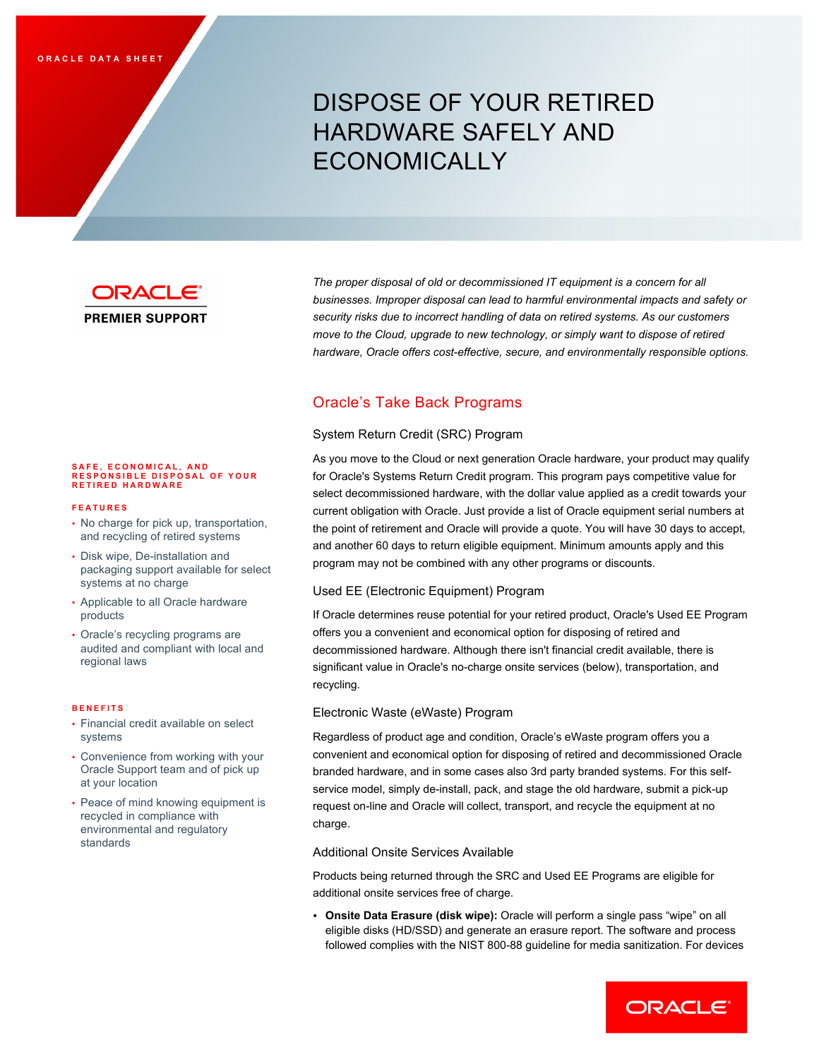# DISPOSE OF YOUR RETIRED HARDWARE SAFELY AND ECONOMICALLY



**PREMIER SUPPORT** 

The proper disposal of old or decommissioned IT equipment is a concern for all  *businesses. Improper disposal can lead to harmful environmental impacts and safety or security risks due to incorrect handling of data on retired systems. As our customers move to the Cloud, upgrade to new technology, or simply want to dispose of retired hardware, Oracle offers cost-effective, secure, and environmentally responsible options.* 

# Oracle's Take Back Programs

## System Return Credit (SRC) Program

 As you move to the Cloud or next generation Oracle hardware, your product may qualify for Oracle's Systems Return Credit program. This program pays competitive value for select decommissioned hardware, with the dollar value applied as a credit towards your current obligation with Oracle. Just provide a list of Oracle equipment serial numbers at the point of retirement and Oracle will provide a quote. You will have 30 days to accept, and another 60 days to return eligible equipment. Minimum amounts apply and this program may not be combined with any other programs or discounts.

## Used EE (Electronic Equipment) Program

 If Oracle determines reuse potential for your retired product, Oracle's Used EE Program offers you a convenient and economical option for disposing of retired and decommissioned hardware. Although there isn't financial credit available, there is significant value in Oracle's no-charge onsite services (below), transportation, and recycling.

## Electronic Waste (eWaste) Program

 Regardless of product age and condition, Oracle's eWaste program offers you a convenient and economical option for disposing of retired and decommissioned Oracle branded hardware, and in some cases also 3rd party branded systems. For this self- service model, simply de-install, pack, and stage the old hardware, submit a pick-up request on-line and Oracle will collect, transport, and recycle the equipment at no charge.

## Additional Onsite Services Available

 Products being returned through the SRC and Used EE Programs are eligible for additional onsite services free of charge.

 • **Onsite Data Erasure (disk wipe):** Oracle will perform a single pass "wipe" on all eligible disks (HD/SSD) and generate an erasure report. The software and process followed complies with the NIST 800-88 guideline for media sanitization. For devices

## **SAFE, ECONOMICAL, AND RESPONSIBLE DISPOSAL OF YOUR RETIRED HARDWARE**

#### **FEATURES**

- • No charge for pick up, transportation, and recycling of retired systems
- • Disk wipe, De-installation and packaging support available for select systems at no charge
- • Applicable to all Oracle hardware products
- • Oracle's recycling programs are audited and compliant with local and regional laws

#### **BENEFITS**

- • Financial credit available on select systems
- • Convenience from working with your Oracle Support team and of pick up at your location
- • Peace of mind knowing equipment is recycled in compliance with environmental and regulatory standards